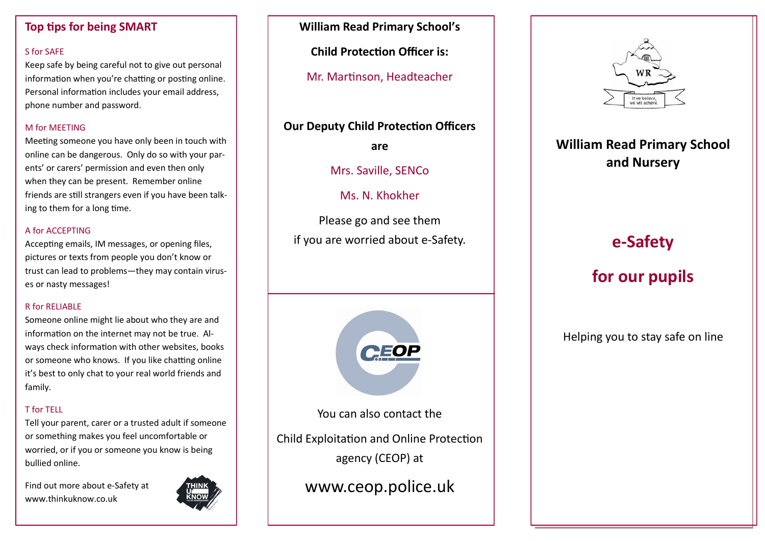# **Top tips for being SMART**

### S for SAFE

Keep safe by being careful not to give out personal information when you're chatting or posting online. Personal information includes your email address, phone number and password.

### M for MEETING

Meeting someone you have only been in touch with online can be dangerous. Only do so with your parents' or carers' permission and even then only when they can be present. Remember online friends are still strangers even if you have been talking to them for a long time.

### A for ACCEPTING

Accepting emails, IM messages, or opening files, pictures or texts from people you don't know or trust can lead to problems—they may contain viruses or nasty messages!

### R for RELIABLE

Someone online might lie about who they are and information on the internet may not be true. Always check information with other websites, books or someone who knows. If you like chatting online it's best to only chat to your real world friends and family.

# T for TELL

Tell your parent, carer or a trusted adult if someone or something makes you feel uncomfortable or worried, or if you or someone you know is being bullied online.

Find out more about e-Safety at www.thinkuknow.co.uk



# **William Read Primary School's**

**Child Protection Officer is:**

Mr. Martinson, Headteacher

# **Our Deputy Child Protection Officers**

**are**

Mrs. Saville, SENCo

Ms. N. Khokher

Please go and see them if you are worried about e-Safety.



You can also contact the

Child Exploitation and Online Protection agency (CEOP) at

www.ceop.police.uk



# **William Read Primary School and Nursery**

# **e-Safety for our pupils**

Helping you to stay safe on line